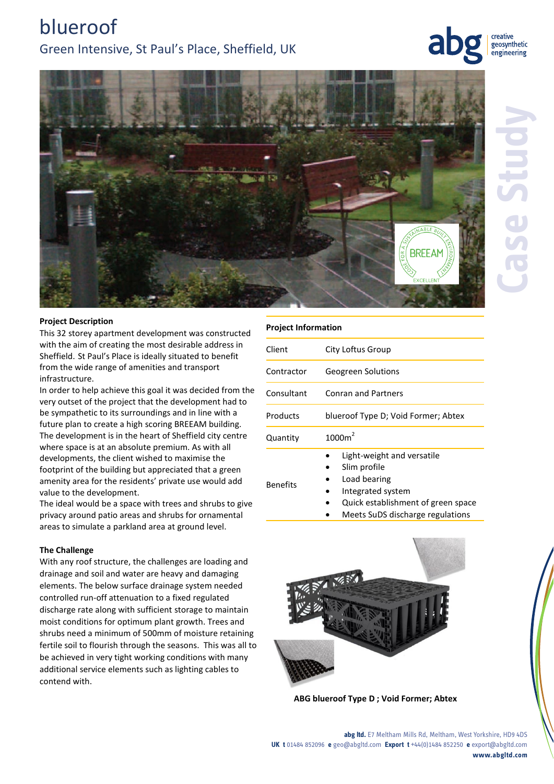# blueroof Green Intensive, St Paul's Place, Sheffield, UK

## creative geosynthetic engineering



### **Project Description**

This 32 storey apartment development was constructed with the aim of creating the most desirable address in Sheffield. St Paul's Place is ideally situated to benefit from the wide range of amenities and transport infrastructure.

In order to help achieve this goal it was decided from the very outset of the project that the development had to be sympathetic to its surroundings and in line with a future plan to create a high scoring BREEAM building. The development is in the heart of Sheffield city centre where space is at an absolute premium. As with all developments, the client wished to maximise the footprint of the building but appreciated that a green amenity area for the residents' private use would add value to the development.

The ideal would be a space with trees and shrubs to give privacy around patio areas and shrubs for ornamental areas to simulate a parkland area at ground level.

#### **The Challenge**

With any roof structure, the challenges are loading and drainage and soil and water are heavy and damaging elements. The below surface drainage system needed controlled run-off attenuation to a fixed regulated discharge rate along with sufficient storage to maintain moist conditions for optimum plant growth. Trees and shrubs need a minimum of 500mm of moisture retaining fertile soil to flourish through the seasons. This was all to be achieved in very tight working conditions with many additional service elements such as lighting cables to contend with.

| Client          | City Loftus Group                                                                                                                                        |
|-----------------|----------------------------------------------------------------------------------------------------------------------------------------------------------|
| Contractor      | <b>Geogreen Solutions</b>                                                                                                                                |
| Consultant      | <b>Conran and Partners</b>                                                                                                                               |
| Products        | blueroof Type D; Void Former; Abtex                                                                                                                      |
| Quantity        | 1000m <sup>2</sup>                                                                                                                                       |
| <b>Benefits</b> | Light-weight and versatile<br>Slim profile<br>Load bearing<br>Integrated system<br>Quick establishment of green space<br>Maats CuDC discharge requisions |





**ABG blueroof Type D ; Void Former; Abtex**